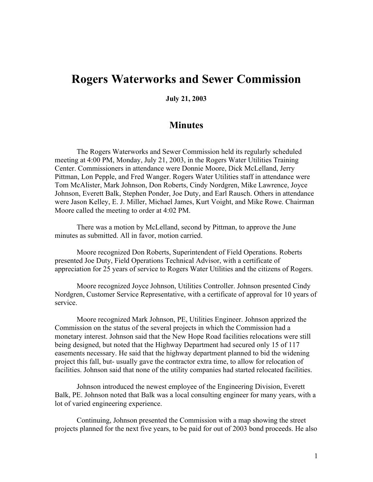## **Rogers Waterworks and Sewer Commission**

**July 21, 2003**

## **Minutes**

The Rogers Waterworks and Sewer Commission held its regularly scheduled meeting at 4:00 PM, Monday, July 21, 2003, in the Rogers Water Utilities Training Center. Commissioners in attendance were Donnie Moore, Dick McLelland, Jerry Pittman, Lon Pepple, and Fred Wanger. Rogers Water Utilities staff in attendance were Tom McAlister, Mark Johnson, Don Roberts, Cindy Nordgren, Mike Lawrence, Joyce Johnson, Everett Balk, Stephen Ponder, Joe Duty, and Earl Rausch. Others in attendance were Jason Kelley, E. J. Miller, Michael James, Kurt Voight, and Mike Rowe. Chairman Moore called the meeting to order at 4:02 PM.

There was a motion by McLelland, second by Pittman, to approve the June minutes as submitted. All in favor, motion carried.

Moore recognized Don Roberts, Superintendent of Field Operations. Roberts presented Joe Duty, Field Operations Technical Advisor, with a certificate of appreciation for 25 years of service to Rogers Water Utilities and the citizens of Rogers.

Moore recognized Joyce Johnson, Utilities Controller. Johnson presented Cindy Nordgren, Customer Service Representative, with a certificate of approval for 10 years of service.

Moore recognized Mark Johnson, PE, Utilities Engineer. Johnson apprized the Commission on the status of the several projects in which the Commission had a monetary interest. Johnson said that the New Hope Road facilities relocations were still being designed, but noted that the Highway Department had secured only 15 of 117 easements necessary. He said that the highway department planned to bid the widening project this fall, but- usually gave the contractor extra time, to allow for relocation of facilities. Johnson said that none of the utility companies had started relocated facilities.

Johnson introduced the newest employee of the Engineering Division, Everett Balk, PE. Johnson noted that Balk was a local consulting engineer for many years, with a lot of varied engineering experience.

Continuing, Johnson presented the Commission with a map showing the street projects planned for the next five years, to be paid for out of 2003 bond proceeds. He also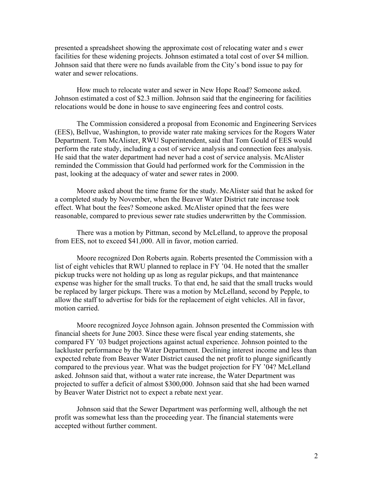presented a spreadsheet showing the approximate cost of relocating water and s ewer facilities for these widening projects. Johnson estimated a total cost of over \$4 million. Johnson said that there were no funds available from the City's bond issue to pay for water and sewer relocations.

How much to relocate water and sewer in New Hope Road? Someone asked. Johnson estimated a cost of \$2.3 million. Johnson said that the engineering for facilities relocations would be done in house to save engineering fees and control costs.

The Commission considered a proposal from Economic and Engineering Services (EES), Bellvue, Washington, to provide water rate making services for the Rogers Water Department. Tom McAlister, RWU Superintendent, said that Tom Gould of EES would perform the rate study, including a cost of service analysis and connection fees analysis. He said that the water department had never had a cost of service analysis. McAlister reminded the Commission that Gould had performed work for the Commission in the past, looking at the adequacy of water and sewer rates in 2000.

Moore asked about the time frame for the study. McAlister said that he asked for a completed study by November, when the Beaver Water District rate increase took effect. What bout the fees? Someone asked. McAlister opined that the fees were reasonable, compared to previous sewer rate studies underwritten by the Commission.

There was a motion by Pittman, second by McLelland, to approve the proposal from EES, not to exceed \$41,000. All in favor, motion carried.

Moore recognized Don Roberts again. Roberts presented the Commission with a list of eight vehicles that RWU planned to replace in FY '04. He noted that the smaller pickup trucks were not holding up as long as regular pickups, and that maintenance expense was higher for the small trucks. To that end, he said that the small trucks would be replaced by larger pickups. There was a motion by McLelland, second by Pepple, to allow the staff to advertise for bids for the replacement of eight vehicles. All in favor, motion carried.

Moore recognized Joyce Johnson again. Johnson presented the Commission with financial sheets for June 2003. Since these were fiscal year ending statements, she compared FY '03 budget projections against actual experience. Johnson pointed to the lackluster performance by the Water Department. Declining interest income and less than expected rebate from Beaver Water District caused the net profit to plunge significantly compared to the previous year. What was the budget projection for FY '04? McLelland asked. Johnson said that, without a water rate increase, the Water Department was projected to suffer a deficit of almost \$300,000. Johnson said that she had been warned by Beaver Water District not to expect a rebate next year.

Johnson said that the Sewer Department was performing well, although the net profit was somewhat less than the proceeding year. The financial statements were accepted without further comment.